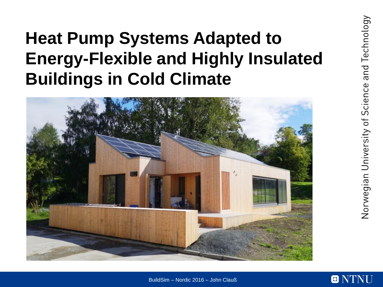# **Heat Pump Systems Adapted to Energy-Flexible and Highly Insulated Buildings in Cold Climate**





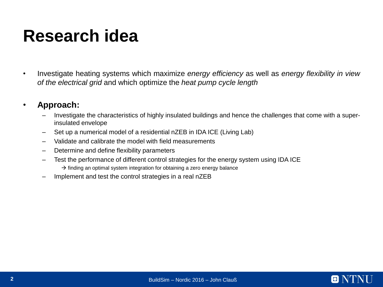# **Research idea**

• Investigate heating systems which maximize *energy efficiency* as well as *energy flexibility in view of the electrical grid* and which optimize the *heat pump cycle length*

### • **Approach:**

- Investigate the characteristics of highly insulated buildings and hence the challenges that come with a superinsulated envelope
- Set up a numerical model of a residential nZEB in IDA ICE (Living Lab)
- Validate and calibrate the model with field measurements
- Determine and define flexibility parameters
- Test the performance of different control strategies for the energy system using IDA ICE  $\rightarrow$  finding an optimal system integration for obtaining a zero energy balance
- Implement and test the control strategies in a real nZEB

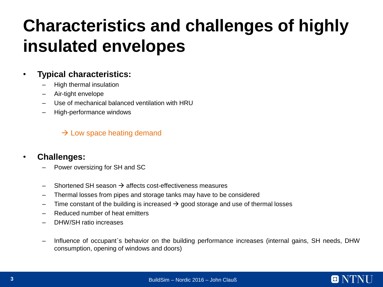# **Characteristics and challenges of highly insulated envelopes**

## • **Typical characteristics:**

- High thermal insulation
- Air-tight envelope
- Use of mechanical balanced ventilation with HRU
- High-performance windows

 $\rightarrow$  Low space heating demand

### • **Challenges:**

- Power oversizing for SH and SC
- $\rightarrow$  Shortened SH season  $\rightarrow$  affects cost-effectiveness measures
- Thermal losses from pipes and storage tanks may have to be considered
- Time constant of the building is increased  $\rightarrow$  good storage and use of thermal losses
- Reduced number of heat emitters
- DHW/SH ratio increases
- Influence of occupant´s behavior on the building performance increases (internal gains, SH needs, DHW consumption, opening of windows and doors)

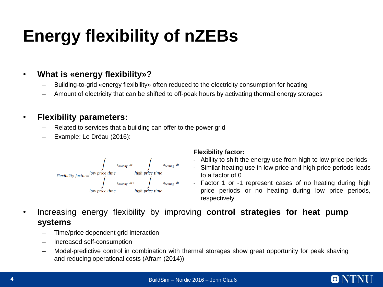# **Energy flexibility of nZEBs**

## • **What is «energy flexibility»?**

- Building-to-grid «energy flexibility» often reduced to the electricity consumption for heating
- Amount of electricity that can be shifted to off-peak hours by activating thermal energy storages

## • **Flexibility parameters:**

- Related to services that a building can offer to the power grid
- Example: Le Dréau (2016):



#### **Flexibility factor:**

- Ability to shift the energy use from high to low price periods
- Similar heating use in low price and high price periods leads to a factor of 0
- Factor 1 or -1 represent cases of no heating during high price periods or no heating during low price periods, respectively
- Increasing energy flexibility by improving **control strategies for heat pump systems**
	- Time/price dependent grid interaction
	- Increased self-consumption
	- Model-predictive control in combination with thermal storages show great opportunity for peak shaving and reducing operational costs (Afram (2014))

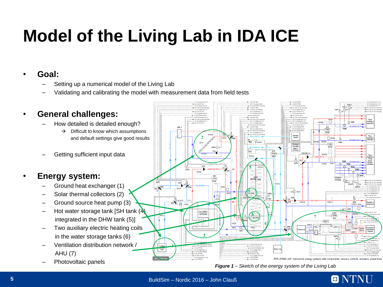# **Model of the Living Lab in IDA ICE**

## • **Goal:**

- Setting up a numerical model of the Living Lab
- Validating and calibrating the model with measurement data from field tests



*Figure 1 – Sketch of the energy system of the Living Lab*

O NTNU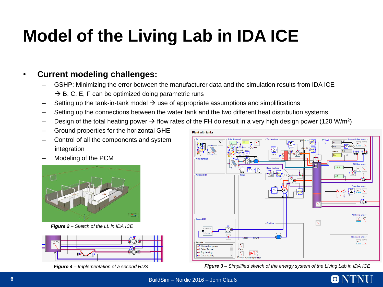# **Model of the Living Lab in IDA ICE**

## • **Current modeling challenges:**

- GSHP: Minimizing the error between the manufacturer data and the simulation results from IDA ICE  $\rightarrow$  B, C, E, F can be optimized doing parametric runs
- Setting up the tank-in-tank model  $\rightarrow$  use of appropriate assumptions and simplifications
- Setting up the connections between the water tank and the two different heat distribution systems
- Design of the total heating power  $\rightarrow$  flow rates of the FH do result in a very high design power (120 W/m<sup>2</sup>)
- Ground properties for the horizontal GHE
- Control of all the components and system integration
- Modeling of the PCM



*Figure 2 – Sketch of the LL in IDA ICE* 



*Figure 4 – Implementation of a second HDS*



*Figure 3 – Simplified sketch of the energy system of the Living Lab in IDA ICE*

 $\blacksquare$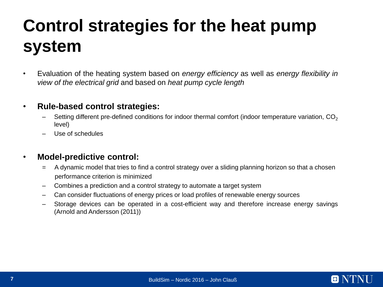# **Control strategies for the heat pump system**

• Evaluation of the heating system based on *energy efficiency* as well as *energy flexibility in view of the electrical grid* and based on *heat pump cycle length*

### • **Rule-based control strategies:**

- Setting different pre-defined conditions for indoor thermal comfort (indoor temperature variation,  $CO<sub>2</sub>$ ) level)
- Use of schedules

#### • **Model-predictive control:**

- = A dynamic model that tries to find a control strategy over a sliding planning horizon so that a chosen performance criterion is minimized
- Combines a prediction and a control strategy to automate a target system
- Can consider fluctuations of energy prices or load profiles of renewable energy sources
- Storage devices can be operated in a cost-efficient way and therefore increase energy savings (Arnold and Andersson (2011))

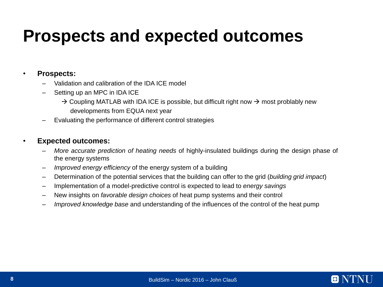## **Prospects and expected outcomes**

#### • **Prospects:**

- Validation and calibration of the IDA ICE model
- Setting up an MPC in IDA ICE
	- $\rightarrow$  Coupling MATLAB with IDA ICE is possible, but difficult right now  $\rightarrow$  most problably new developments from EQUA next year
- Evaluating the performance of different control strategies

#### • **Expected outcomes:**

- *More accurate prediction of heating needs* of highly-insulated buildings during the design phase of the energy systems
- *Improved energy efficiency* of the energy system of a building
- Determination of the potential services that the building can offer to the grid (*building grid impact*)
- Implementation of a model-predictive control is expected to lead to *energy savings*
- New insights on *favorable design choices* of heat pump systems and their control
- *Improved knowledge base* and understanding of the influences of the control of the heat pump

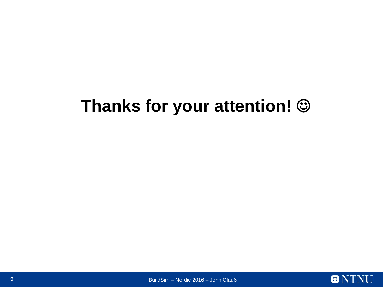# **Thanks for your attention!**